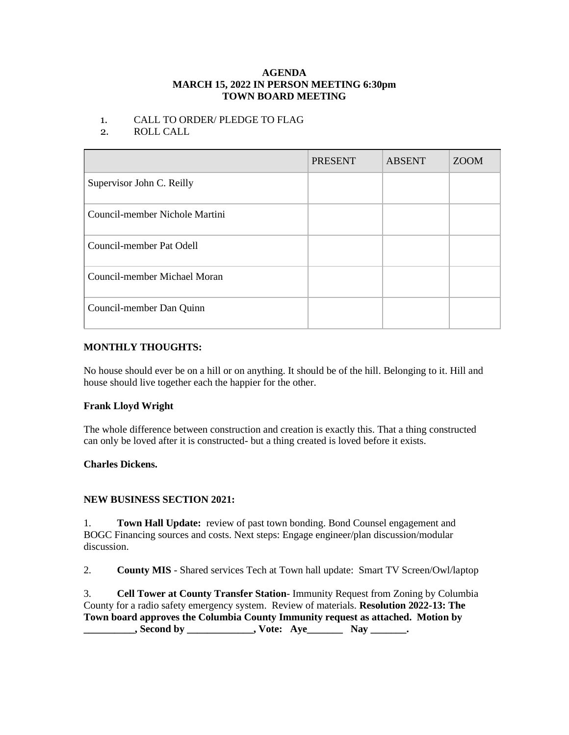#### **AGENDA MARCH 15, 2022 IN PERSON MEETING 6:30pm TOWN BOARD MEETING**

## 1. CALL TO ORDER/ PLEDGE TO FLAG

# 2. ROLL CALL

|                                | <b>PRESENT</b> | <b>ABSENT</b> | <b>ZOOM</b> |
|--------------------------------|----------------|---------------|-------------|
| Supervisor John C. Reilly      |                |               |             |
| Council-member Nichole Martini |                |               |             |
| Council-member Pat Odell       |                |               |             |
| Council-member Michael Moran   |                |               |             |
| Council-member Dan Quinn       |                |               |             |

## **MONTHLY THOUGHTS:**

No house should ever be on a hill or on anything. It should be of the hill. Belonging to it. Hill and house should live together each the happier for the other.

# **Frank Lloyd Wright**

The whole difference between construction and creation is exactly this. That a thing constructed can only be loved after it is constructed- but a thing created is loved before it exists.

### **Charles Dickens.**

### **NEW BUSINESS SECTION 2021:**

1. **Town Hall Update:** review of past town bonding. Bond Counsel engagement and BOGC Financing sources and costs. Next steps: Engage engineer/plan discussion/modular discussion.

2. **County MIS** - Shared services Tech at Town hall update: Smart TV Screen/Owl/laptop

3. **Cell Tower at County Transfer Station**- Immunity Request from Zoning by Columbia County for a radio safety emergency system. Review of materials. **Resolution 2022-13: The Town board approves the Columbia County Immunity request as attached. Motion by All Second by**  Second by **All Second by**  Second by **All Second by**  Second by **All Second by**  Second by **All Second by**  Second by **All Second by**  Second by **All Second by**  Second by **All Second by**  Second by **All S**